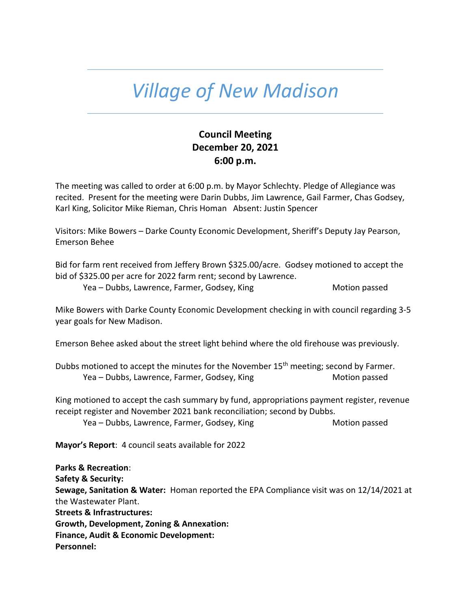# *Village of New Madison*

# **Council Meeting December 20, 2021 6:00 p.m.**

The meeting was called to order at 6:00 p.m. by Mayor Schlechty. Pledge of Allegiance was recited. Present for the meeting were Darin Dubbs, Jim Lawrence, Gail Farmer, Chas Godsey, Karl King, Solicitor Mike Rieman, Chris Homan Absent: Justin Spencer

Visitors: Mike Bowers – Darke County Economic Development, Sheriff's Deputy Jay Pearson, Emerson Behee

Bid for farm rent received from Jeffery Brown \$325.00/acre. Godsey motioned to accept the bid of \$325.00 per acre for 2022 farm rent; second by Lawrence.

Yea – Dubbs, Lawrence, Farmer, Godsey, King Motion passed

Mike Bowers with Darke County Economic Development checking in with council regarding 3-5 year goals for New Madison.

Emerson Behee asked about the street light behind where the old firehouse was previously.

Dubbs motioned to accept the minutes for the November 15<sup>th</sup> meeting; second by Farmer. Yea – Dubbs, Lawrence, Farmer, Godsey, King Motion passed Motion passed

King motioned to accept the cash summary by fund, appropriations payment register, revenue receipt register and November 2021 bank reconciliation; second by Dubbs.

Yea – Dubbs, Lawrence, Farmer, Godsey, King Motion passed

**Mayor's Report**: 4 council seats available for 2022

**Parks & Recreation**: **Safety & Security: Sewage, Sanitation & Water:** Homan reported the EPA Compliance visit was on 12/14/2021 at the Wastewater Plant. **Streets & Infrastructures: Growth, Development, Zoning & Annexation: Finance, Audit & Economic Development: Personnel:**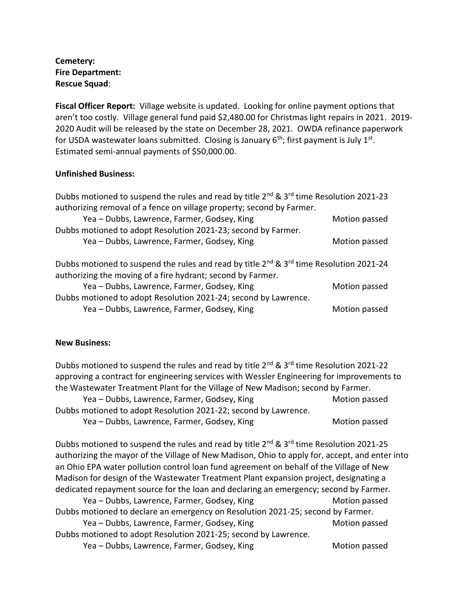## **Cemetery: Fire Department: Rescue Squad**:

**Fiscal Officer Report:** Village website is updated. Looking for online payment options that aren't too costly. Village general fund paid \$2,480.00 for Christmas light repairs in 2021. 2019- 2020 Audit will be released by the state on December 28, 2021. OWDA refinance paperwork for USDA wastewater loans submitted. Closing is January  $6<sup>th</sup>$ ; first payment is July  $1<sup>st</sup>$ . Estimated semi-annual payments of \$50,000.00.

### **Unfinished Business:**

| Dubbs motioned to suspend the rules and read by title 2 <sup>nd</sup> & 3 <sup>rd</sup> time Resolution 2021-23 |               |  |
|-----------------------------------------------------------------------------------------------------------------|---------------|--|
| authorizing removal of a fence on village property; second by Farmer.                                           |               |  |
| Yea - Dubbs, Lawrence, Farmer, Godsey, King                                                                     | Motion passed |  |
| Dubbs motioned to adopt Resolution 2021-23; second by Farmer.                                                   |               |  |
| Yea - Dubbs, Lawrence, Farmer, Godsey, King                                                                     | Motion passed |  |
|                                                                                                                 |               |  |
| Dubbs motioned to suspend the rules and read by title 2 <sup>nd</sup> & 3 <sup>rd</sup> time Resolution 2021-24 |               |  |
| authorizing the moving of a fire hydrant; second by Farmer.                                                     |               |  |
| Yea - Dubbs, Lawrence, Farmer, Godsey, King                                                                     | Motion passed |  |
| Dubbs motioned to adopt Resolution 2021-24; second by Lawrence.                                                 |               |  |
| Yea - Dubbs, Lawrence, Farmer, Godsey, King                                                                     |               |  |
|                                                                                                                 | Motion passed |  |

#### **New Business:**

Dubbs motioned to suspend the rules and read by title  $2^{nd}$  &  $3^{rd}$  time Resolution 2021-22 approving a contract for engineering services with Wessler Engineering for improvements to the Wastewater Treatment Plant for the Village of New Madison; second by Farmer.

| Yea – Dubbs, Lawrence, Farmer, Godsey, King                     | Motion passed |
|-----------------------------------------------------------------|---------------|
| Dubbs motioned to adopt Resolution 2021-22; second by Lawrence. |               |
| Yea – Dubbs, Lawrence, Farmer, Godsey, King                     | Motion passed |

Dubbs motioned to suspend the rules and read by title  $2^{nd}$  &  $3^{rd}$  time Resolution 2021-25 authorizing the mayor of the Village of New Madison, Ohio to apply for, accept, and enter into an Ohio EPA water pollution control loan fund agreement on behalf of the Village of New Madison for design of the Wastewater Treatment Plant expansion project, designating a dedicated repayment source for the loan and declaring an emergency; second by Farmer. Yea – Dubbs, Lawrence, Farmer, Godsey, King Motion passed Motion passed Dubbs motioned to declare an emergency on Resolution 2021-25; second by Farmer. Yea – Dubbs, Lawrence, Farmer, Godsey, King Motion passed Motion passed Dubbs motioned to adopt Resolution 2021-25; second by Lawrence. Yea – Dubbs, Lawrence, Farmer, Godsey, King Motion passed